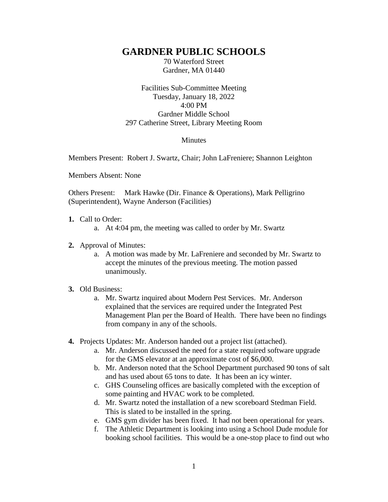## **GARDNER PUBLIC SCHOOLS**

70 Waterford Street Gardner, MA 01440

Facilities Sub-Committee Meeting Tuesday, January 18, 2022 4:00 PM Gardner Middle School 297 Catherine Street, Library Meeting Room

## Minutes

Members Present: Robert J. Swartz, Chair; John LaFreniere; Shannon Leighton

Members Absent: None

Others Present: Mark Hawke (Dir. Finance & Operations), Mark Pelligrino (Superintendent), Wayne Anderson (Facilities)

- **1.** Call to Order:
	- a. At 4:04 pm, the meeting was called to order by Mr. Swartz
- **2.** Approval of Minutes:
	- a. A motion was made by Mr. LaFreniere and seconded by Mr. Swartz to accept the minutes of the previous meeting. The motion passed unanimously.

## **3.** Old Business:

- a. Mr. Swartz inquired about Modern Pest Services. Mr. Anderson explained that the services are required under the Integrated Pest Management Plan per the Board of Health. There have been no findings from company in any of the schools.
- **4.** Projects Updates: Mr. Anderson handed out a project list (attached).
	- a. Mr. Anderson discussed the need for a state required software upgrade for the GMS elevator at an approximate cost of \$6,000.
	- b. Mr. Anderson noted that the School Department purchased 90 tons of salt and has used about 65 tons to date. It has been an icy winter.
	- c. GHS Counseling offices are basically completed with the exception of some painting and HVAC work to be completed.
	- d. Mr. Swartz noted the installation of a new scoreboard Stedman Field. This is slated to be installed in the spring.
	- e. GMS gym divider has been fixed. It had not been operational for years.
	- f. The Athletic Department is looking into using a School Dude module for booking school facilities. This would be a one-stop place to find out who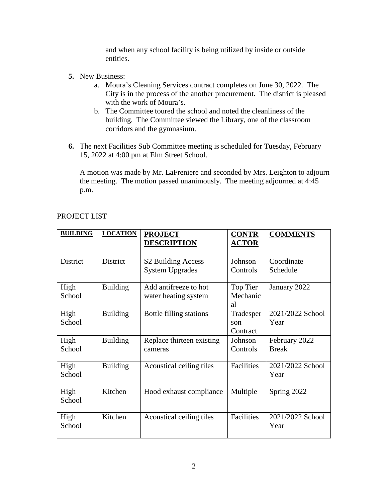and when any school facility is being utilized by inside or outside entities.

- **5.** New Business:
	- a. Moura's Cleaning Services contract completes on June 30, 2022. The City is in the process of the another procurement. The district is pleased with the work of Moura's.
	- b. The Committee toured the school and noted the cleanliness of the building. The Committee viewed the Library, one of the classroom corridors and the gymnasium.
- **6.** The next Facilities Sub Committee meeting is scheduled for Tuesday, February 15, 2022 at 4:00 pm at Elm Street School.

A motion was made by Mr. LaFreniere and seconded by Mrs. Leighton to adjourn the meeting. The motion passed unanimously. The meeting adjourned at 4:45 p.m.

| <b>BUILDING</b> | <b>LOCATION</b> | <b>PROJECT</b><br><b>DESCRIPTION</b>                     | <b>CONTR</b><br><b>ACTOR</b> | <b>COMMENTS</b>               |
|-----------------|-----------------|----------------------------------------------------------|------------------------------|-------------------------------|
| <b>District</b> | District        | S <sub>2</sub> Building Access<br><b>System Upgrades</b> | Johnson<br>Controls          | Coordinate<br>Schedule        |
| High<br>School  | <b>Building</b> | Add antifreeze to hot<br>water heating system            | Top Tier<br>Mechanic<br>al   | January 2022                  |
| High<br>School  | <b>Building</b> | Bottle filling stations                                  | Tradesper<br>son<br>Contract | 2021/2022 School<br>Year      |
| High<br>School  | <b>Building</b> | Replace thirteen existing<br>cameras                     | Johnson<br>Controls          | February 2022<br><b>Break</b> |
| High<br>School  | <b>Building</b> | Acoustical ceiling tiles                                 | Facilities                   | 2021/2022 School<br>Year      |
| High<br>School  | Kitchen         | Hood exhaust compliance                                  | Multiple                     | Spring 2022                   |
| High<br>School  | Kitchen         | Acoustical ceiling tiles                                 | Facilities                   | 2021/2022 School<br>Year      |

## PROJECT LIST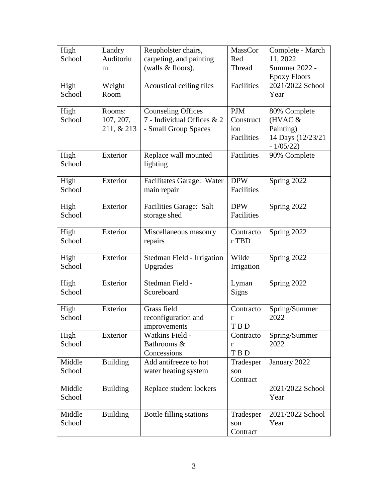| High           | Landry          | Reupholster chairs,            | MassCor         | Complete - March          |
|----------------|-----------------|--------------------------------|-----------------|---------------------------|
| School         | Auditoriu       | carpeting, and painting        | Red<br>Thread   | 11, 2022<br>Summer 2022 - |
|                | m               | (walls & floors).              |                 | <b>Epoxy Floors</b>       |
| High           | Weight          | Acoustical ceiling tiles       | Facilities      | 2021/2022 School          |
| School         | Room            |                                |                 | Year                      |
|                |                 |                                |                 |                           |
| High           | Rooms:          | <b>Counseling Offices</b>      | <b>PJM</b>      | 80% Complete              |
| School         | 107, 207,       | 7 - Individual Offices & 2     | Construct       | $(HVAC \&$                |
|                | 211, & 213      | - Small Group Spaces           | ion             | Painting)                 |
|                |                 |                                | Facilities      | 14 Days (12/23/21         |
|                |                 |                                |                 | $-1/05/22$                |
| High           | Exterior        | Replace wall mounted           | Facilities      | 90% Complete              |
| School         |                 | lighting                       |                 |                           |
| High           | Exterior        | Facilitates Garage: Water      | <b>DPW</b>      | Spring 2022               |
| School         |                 | main repair                    | Facilities      |                           |
|                |                 |                                |                 |                           |
| High           | Exterior        | Facilities Garage: Salt        | <b>DPW</b>      | Spring 2022               |
| School         |                 | storage shed                   | Facilities      |                           |
|                |                 |                                |                 |                           |
| High           | Exterior        | Miscellaneous masonry          | Contracto       | Spring 2022               |
| School         |                 | repairs                        | r TBD           |                           |
| High           | Exterior        | Stedman Field - Irrigation     | Wilde           | Spring 2022               |
| School         |                 | Upgrades                       | Irrigation      |                           |
|                |                 |                                |                 |                           |
| High           | Exterior        | Stedman Field -                | Lyman           | Spring 2022               |
| School         |                 | Scoreboard                     | Signs           |                           |
|                |                 |                                |                 |                           |
| High           | Exterior        | Grass field                    | Contracto       | Spring/Summer             |
| School         |                 | reconfiguration and            | r               | 2022                      |
|                |                 | improvements                   | T B D           |                           |
| High<br>School | Exterior        | Watkins Field -<br>Bathrooms & | Contracto       | Spring/Summer<br>2022     |
|                |                 | Concessions                    | r<br><b>TBD</b> |                           |
| Middle         | <b>Building</b> | Add antifreeze to hot          | Tradesper       | January 2022              |
| School         |                 | water heating system           | son             |                           |
|                |                 |                                | Contract        |                           |
| Middle         | <b>Building</b> | Replace student lockers        |                 | 2021/2022 School          |
| School         |                 |                                |                 | Year                      |
|                |                 |                                |                 |                           |
| Middle         | <b>Building</b> | Bottle filling stations        | Tradesper       | 2021/2022 School          |
| School         |                 |                                | son             | Year                      |
|                |                 |                                | Contract        |                           |